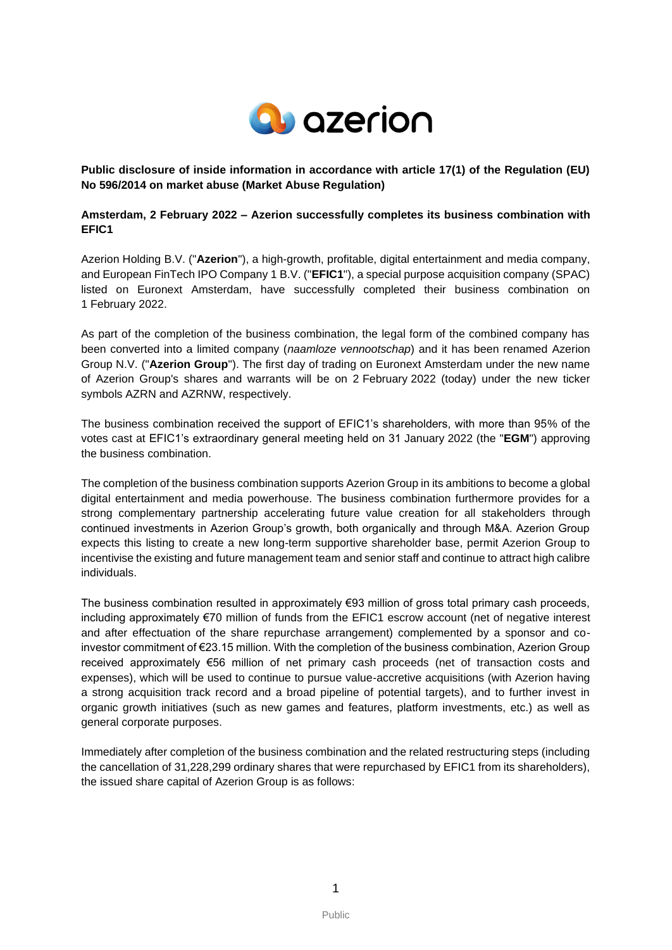

**Public disclosure of inside information in accordance with article 17(1) of the Regulation (EU) No 596/2014 on market abuse (Market Abuse Regulation)**

# **Amsterdam, 2 February 2022 – Azerion successfully completes its business combination with EFIC1**

Azerion Holding B.V. ("**Azerion**"), a high-growth, profitable, digital entertainment and media company, and European FinTech IPO Company 1 B.V. ("**EFIC1**"), a special purpose acquisition company (SPAC) listed on Euronext Amsterdam, have successfully completed their business combination on 1 February 2022.

As part of the completion of the business combination, the legal form of the combined company has been converted into a limited company (*naamloze vennootschap*) and it has been renamed Azerion Group N.V. ("**Azerion Group**"). The first day of trading on Euronext Amsterdam under the new name of Azerion Group's shares and warrants will be on 2 February 2022 (today) under the new ticker symbols AZRN and AZRNW, respectively.

The business combination received the support of EFIC1's shareholders, with more than 95% of the votes cast at EFIC1's extraordinary general meeting held on 31 January 2022 (the "**EGM**") approving the business combination.

The completion of the business combination supports Azerion Group in its ambitions to become a global digital entertainment and media powerhouse. The business combination furthermore provides for a strong complementary partnership accelerating future value creation for all stakeholders through continued investments in Azerion Group's growth, both organically and through M&A. Azerion Group expects this listing to create a new long-term supportive shareholder base, permit Azerion Group to incentivise the existing and future management team and senior staff and continue to attract high calibre individuals.

The business combination resulted in approximately €93 million of gross total primary cash proceeds, including approximately €70 million of funds from the EFIC1 escrow account (net of negative interest and after effectuation of the share repurchase arrangement) complemented by a sponsor and coinvestor commitment of €23.15 million. With the completion of the business combination, Azerion Group received approximately €56 million of net primary cash proceeds (net of transaction costs and expenses), which will be used to continue to pursue value-accretive acquisitions (with Azerion having a strong acquisition track record and a broad pipeline of potential targets), and to further invest in organic growth initiatives (such as new games and features, platform investments, etc.) as well as general corporate purposes.

Immediately after completion of the business combination and the related restructuring steps (including the cancellation of 31,228,299 ordinary shares that were repurchased by EFIC1 from its shareholders), the issued share capital of Azerion Group is as follows: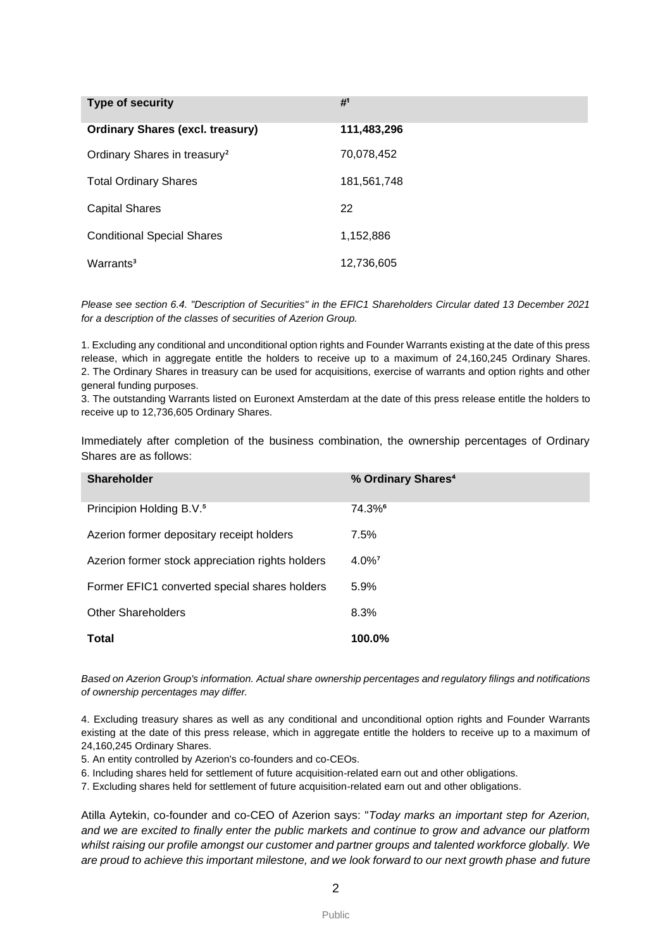| Type of security                         | # <sup>1</sup> |
|------------------------------------------|----------------|
| <b>Ordinary Shares (excl. treasury)</b>  | 111,483,296    |
| Ordinary Shares in treasury <sup>2</sup> | 70,078,452     |
| <b>Total Ordinary Shares</b>             | 181,561,748    |
| <b>Capital Shares</b>                    | 22             |
| <b>Conditional Special Shares</b>        | 1,152,886      |
| Warrants <sup>3</sup>                    | 12,736,605     |

*Please see section 6.4. "Description of Securities" in the EFIC1 Shareholders Circular dated 13 December 2021 for a description of the classes of securities of Azerion Group.*

1. Excluding any conditional and unconditional option rights and Founder Warrants existing at the date of this press release, which in aggregate entitle the holders to receive up to a maximum of 24,160,245 Ordinary Shares. 2. The Ordinary Shares in treasury can be used for acquisitions, exercise of warrants and option rights and other general funding purposes.

3. The outstanding Warrants listed on Euronext Amsterdam at the date of this press release entitle the holders to receive up to 12,736,605 Ordinary Shares.

Immediately after completion of the business combination, the ownership percentages of Ordinary Shares are as follows:

| <b>Shareholder</b>                               | % Ordinary Shares <sup>4</sup> |
|--------------------------------------------------|--------------------------------|
| Principion Holding B.V. <sup>5</sup>             | $74.3\%$ <sup>6</sup>          |
| Azerion former depositary receipt holders        | 7.5%                           |
| Azerion former stock appreciation rights holders | $4.0\%$ <sup>7</sup>           |
| Former EFIC1 converted special shares holders    | 5.9%                           |
| <b>Other Shareholders</b>                        | 8.3%                           |
| Total                                            | 100.0%                         |

*Based on Azerion Group's information. Actual share ownership percentages and regulatory filings and notifications of ownership percentages may differ.*

4. Excluding treasury shares as well as any conditional and unconditional option rights and Founder Warrants existing at the date of this press release, which in aggregate entitle the holders to receive up to a maximum of 24,160,245 Ordinary Shares.

5. An entity controlled by Azerion's co-founders and co-CEOs.

6. Including shares held for settlement of future acquisition-related earn out and other obligations.

7. Excluding shares held for settlement of future acquisition-related earn out and other obligations.

Atilla Aytekin, co-founder and co-CEO of Azerion says: "*Today marks an important step for Azerion, and we are excited to finally enter the public markets and continue to grow and advance our platform whilst raising our profile amongst our customer and partner groups and talented workforce globally. We are proud to achieve this important milestone, and we look forward to our next growth phase and future*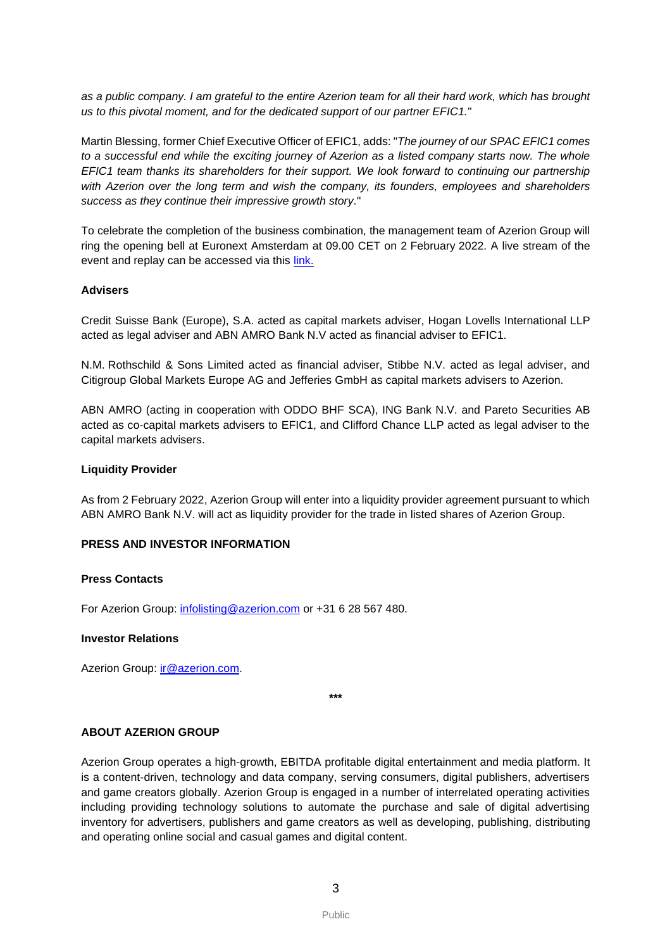*as a public company. I am grateful to the entire Azerion team for all their hard work, which has brought us to this pivotal moment, and for the dedicated support of our partner EFIC1.*"

Martin Blessing, former Chief Executive Officer of EFIC1, adds: "*The journey of our SPAC EFIC1 comes to a successful end while the exciting journey of Azerion as a listed company starts now. The whole EFIC1 team thanks its shareholders for their support. We look forward to continuing our partnership with Azerion over the long term and wish the company, its founders, employees and shareholders success as they continue their impressive growth story.*"

To celebrate the completion of the business combination, the management team of Azerion Group will ring the opening bell at Euronext Amsterdam at 09.00 CET on 2 February 2022. A live stream of the event and replay can be accessed via this [link.](https://channel.royalcast.com/azerion/#!/azerion/20220202_1)

## **Advisers**

Credit Suisse Bank (Europe), S.A. acted as capital markets adviser, Hogan Lovells International LLP acted as legal adviser and ABN AMRO Bank N.V acted as financial adviser to EFIC1.

N.M. Rothschild & Sons Limited acted as financial adviser, Stibbe N.V. acted as legal adviser, and Citigroup Global Markets Europe AG and Jefferies GmbH as capital markets advisers to Azerion.

ABN AMRO (acting in cooperation with ODDO BHF SCA), ING Bank N.V. and Pareto Securities AB acted as co-capital markets advisers to EFIC1, and Clifford Chance LLP acted as legal adviser to the capital markets advisers.

### **Liquidity Provider**

As from 2 February 2022, Azerion Group will enter into a liquidity provider agreement pursuant to which ABN AMRO Bank N.V. will act as liquidity provider for the trade in listed shares of Azerion Group.

### **PRESS AND INVESTOR INFORMATION**

### **Press Contacts**

For Azerion Group: infolisting@azerion.com or +31 6 28 567 480.

## **Investor Relations**

Azerion Group: [ir@azerion.com.](mailto:infolisting@azerion.com)

**\*\*\***

# **ABOUT AZERION GROUP**

Azerion Group operates a high-growth, EBITDA profitable digital entertainment and media platform. It is a content-driven, technology and data company, serving consumers, digital publishers, advertisers and game creators globally. Azerion Group is engaged in a number of interrelated operating activities including providing technology solutions to automate the purchase and sale of digital advertising inventory for advertisers, publishers and game creators as well as developing, publishing, distributing and operating online social and casual games and digital content.